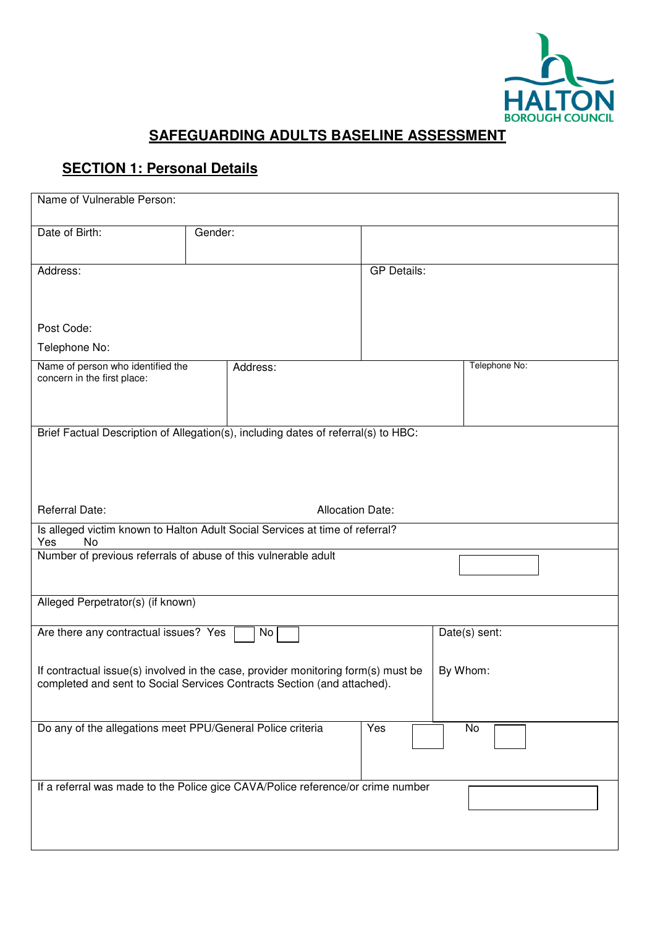

## **SAFEGUARDING ADULTS BASELINE ASSESSMENT**

## **SECTION 1: Personal Details**

| Name of Vulnerable Person:                                                                                                                                               |                                                                                    |                    |               |
|--------------------------------------------------------------------------------------------------------------------------------------------------------------------------|------------------------------------------------------------------------------------|--------------------|---------------|
| Date of Birth:                                                                                                                                                           | Gender:                                                                            |                    |               |
| Address:                                                                                                                                                                 |                                                                                    | <b>GP Details:</b> |               |
| Post Code:                                                                                                                                                               |                                                                                    |                    |               |
| Telephone No:                                                                                                                                                            |                                                                                    |                    |               |
| Name of person who identified the<br>concern in the first place:                                                                                                         | Address:                                                                           |                    | Telephone No: |
|                                                                                                                                                                          | Brief Factual Description of Allegation(s), including dates of referral(s) to HBC: |                    |               |
| Referral Date:                                                                                                                                                           | <b>Allocation Date:</b>                                                            |                    |               |
| Yes<br>No                                                                                                                                                                | Is alleged victim known to Halton Adult Social Services at time of referral?       |                    |               |
|                                                                                                                                                                          | Number of previous referrals of abuse of this vulnerable adult                     |                    |               |
| Alleged Perpetrator(s) (if known)                                                                                                                                        |                                                                                    |                    |               |
| Are there any contractual issues? Yes                                                                                                                                    | No                                                                                 |                    | Date(s) sent: |
| If contractual issue(s) involved in the case, provider monitoring form(s) must be<br>By Whom:<br>completed and sent to Social Services Contracts Section (and attached). |                                                                                    |                    |               |
| Do any of the allegations meet PPU/General Police criteria                                                                                                               |                                                                                    | Yes                | No            |
|                                                                                                                                                                          | If a referral was made to the Police gice CAVA/Police reference/or crime number    |                    |               |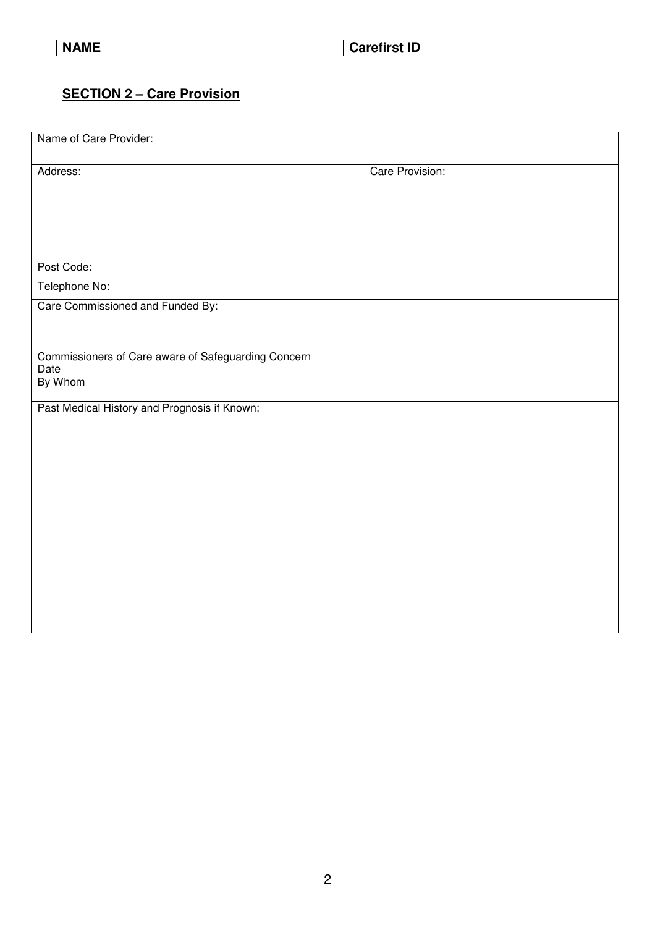**NAME** Carefirst ID

## **SECTION 2 – Care Provision**

| Name of Care Provider:                                                 |                 |
|------------------------------------------------------------------------|-----------------|
| Address:                                                               | Care Provision: |
| Post Code:                                                             |                 |
| Telephone No:                                                          |                 |
| Care Commissioned and Funded By:                                       |                 |
| Commissioners of Care aware of Safeguarding Concern<br>Date<br>By Whom |                 |
| Past Medical History and Prognosis if Known:                           |                 |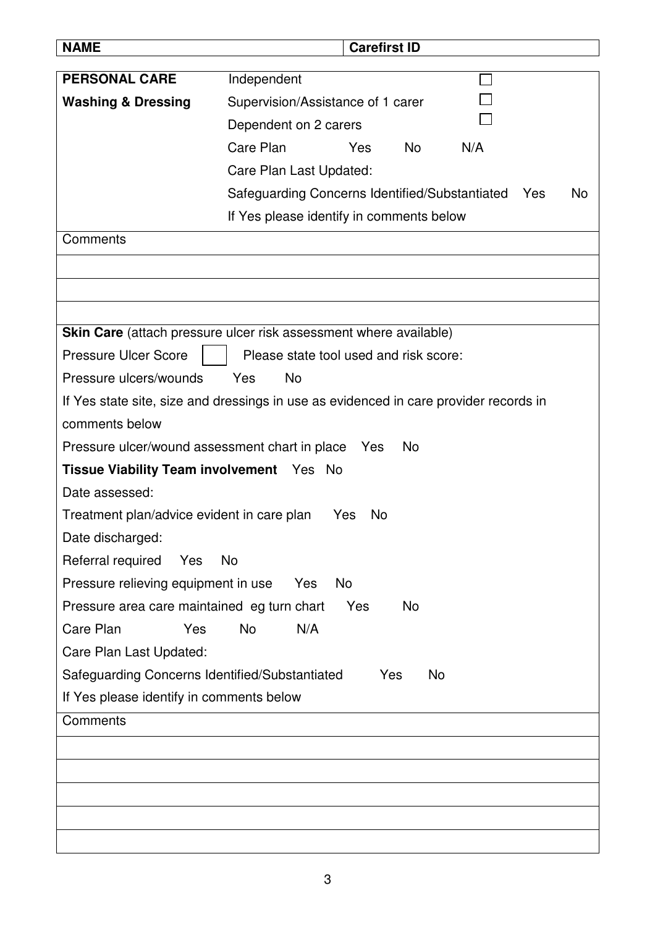| <b>NAME</b>                                                     | <b>Carefirst ID</b>                                                                   |  |
|-----------------------------------------------------------------|---------------------------------------------------------------------------------------|--|
| <b>PERSONAL CARE</b>                                            | Independent                                                                           |  |
| <b>Washing &amp; Dressing</b>                                   | Supervision/Assistance of 1 carer                                                     |  |
|                                                                 | Dependent on 2 carers                                                                 |  |
|                                                                 | Care Plan<br><b>No</b><br>Yes<br>N/A                                                  |  |
|                                                                 | Care Plan Last Updated:                                                               |  |
|                                                                 | Safeguarding Concerns Identified/Substantiated<br>No<br>Yes                           |  |
|                                                                 | If Yes please identify in comments below                                              |  |
| Comments                                                        |                                                                                       |  |
|                                                                 |                                                                                       |  |
|                                                                 |                                                                                       |  |
|                                                                 |                                                                                       |  |
|                                                                 | <b>Skin Care</b> (attach pressure ulcer risk assessment where available)              |  |
| <b>Pressure Ulcer Score</b>                                     | Please state tool used and risk score:                                                |  |
| Pressure ulcers/wounds                                          | Yes<br><b>No</b>                                                                      |  |
|                                                                 | If Yes state site, size and dressings in use as evidenced in care provider records in |  |
| comments below                                                  |                                                                                       |  |
| Pressure ulcer/wound assessment chart in place Yes<br><b>No</b> |                                                                                       |  |
| Tissue Viability Team involvement Yes No                        |                                                                                       |  |
| Date assessed:                                                  |                                                                                       |  |
| Treatment plan/advice evident in care plan                      | Yes<br><b>No</b>                                                                      |  |
| Date discharged:                                                |                                                                                       |  |
| Referral required<br>Yes                                        | No                                                                                    |  |
| Pressure relieving equipment in use                             | <b>No</b><br>Yes                                                                      |  |
| Pressure area care maintained eg turn chart                     | Yes<br>No                                                                             |  |
| Care Plan<br>Yes                                                | N/A<br><b>No</b>                                                                      |  |
| Care Plan Last Updated:                                         |                                                                                       |  |
| Safeguarding Concerns Identified/Substantiated                  | No<br>Yes                                                                             |  |
| If Yes please identify in comments below                        |                                                                                       |  |
| Comments                                                        |                                                                                       |  |
|                                                                 |                                                                                       |  |
|                                                                 |                                                                                       |  |
|                                                                 |                                                                                       |  |
|                                                                 |                                                                                       |  |
|                                                                 |                                                                                       |  |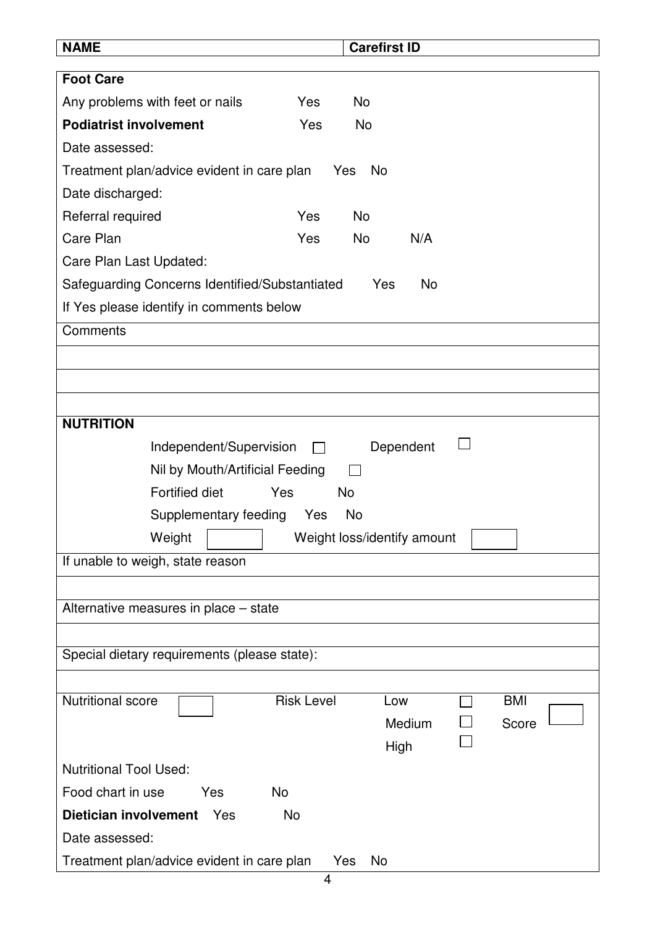| <b>NAME</b>                                             |                   | <b>Carefirst ID</b> |           |            |  |
|---------------------------------------------------------|-------------------|---------------------|-----------|------------|--|
| <b>Foot Care</b>                                        |                   |                     |           |            |  |
| Any problems with feet or nails                         | Yes               | <b>No</b>           |           |            |  |
| <b>Podiatrist involvement</b>                           | Yes               | <b>No</b>           |           |            |  |
| Date assessed:                                          |                   |                     |           |            |  |
| Treatment plan/advice evident in care plan              |                   | No<br>Yes           |           |            |  |
| Date discharged:                                        |                   |                     |           |            |  |
| Referral required                                       | Yes               | <b>No</b>           |           |            |  |
| Care Plan                                               | Yes               | <b>No</b>           | N/A       |            |  |
| Care Plan Last Updated:                                 |                   |                     |           |            |  |
| Safeguarding Concerns Identified/Substantiated          |                   | Yes                 | <b>No</b> |            |  |
| If Yes please identify in comments below                |                   |                     |           |            |  |
| Comments                                                |                   |                     |           |            |  |
|                                                         |                   |                     |           |            |  |
|                                                         |                   |                     |           |            |  |
|                                                         |                   |                     |           |            |  |
| <b>NUTRITION</b>                                        |                   |                     |           |            |  |
| Independent/Supervision                                 |                   |                     | Dependent |            |  |
| Nil by Mouth/Artificial Feeding                         |                   |                     |           |            |  |
| <b>Fortified diet</b>                                   | Yes<br>No         |                     |           |            |  |
| Supplementary feeding                                   | Yes<br>No         |                     |           |            |  |
| Weight<br>Weight loss/identify amount                   |                   |                     |           |            |  |
| If unable to weigh, state reason                        |                   |                     |           |            |  |
|                                                         |                   |                     |           |            |  |
| Alternative measures in place – state                   |                   |                     |           |            |  |
|                                                         |                   |                     |           |            |  |
| Special dietary requirements (please state):            |                   |                     |           |            |  |
|                                                         |                   |                     |           |            |  |
| <b>Nutritional score</b>                                | <b>Risk Level</b> | Low                 |           | <b>BMI</b> |  |
|                                                         |                   |                     | Medium    | Score      |  |
|                                                         |                   | High                |           |            |  |
| <b>Nutritional Tool Used:</b>                           |                   |                     |           |            |  |
| <b>No</b><br>Food chart in use<br><b>Yes</b>            |                   |                     |           |            |  |
| <b>Dietician involvement</b><br>Yes                     | <b>No</b>         |                     |           |            |  |
| Date assessed:                                          |                   |                     |           |            |  |
| Treatment plan/advice evident in care plan<br>Yes<br>No |                   |                     |           |            |  |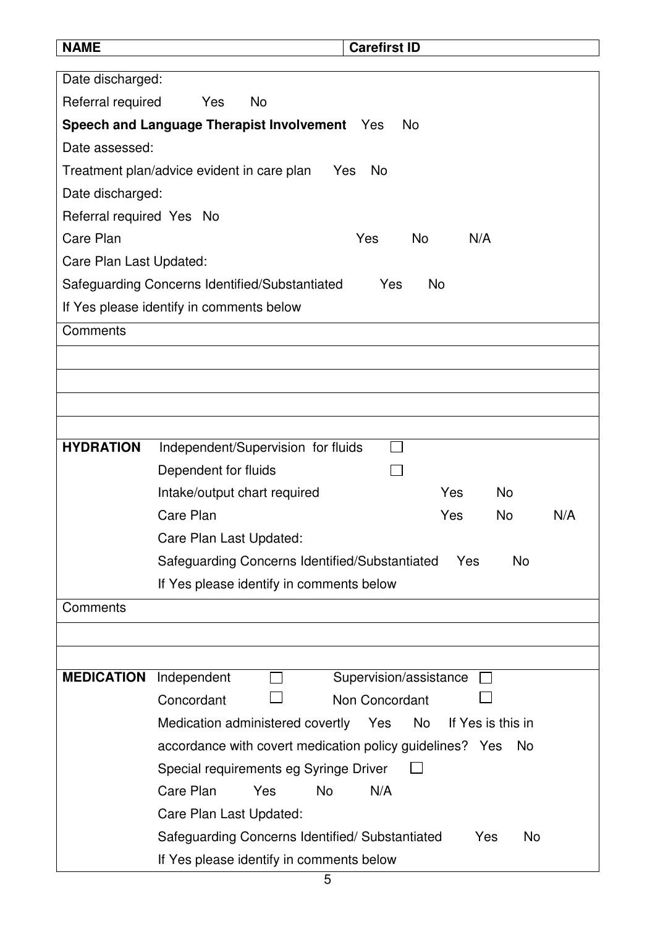| <b>NAME</b>              | <b>Carefirst ID</b>                                                |
|--------------------------|--------------------------------------------------------------------|
| Date discharged:         |                                                                    |
| Referral required        | Yes<br>No                                                          |
|                          | Speech and Language Therapist Involvement Yes<br>No.               |
| Date assessed:           |                                                                    |
|                          | Treatment plan/advice evident in care plan<br>Yes<br><b>No</b>     |
| Date discharged:         |                                                                    |
| Referral required Yes No |                                                                    |
| Care Plan                | N/A<br>Yes<br>No.                                                  |
| Care Plan Last Updated:  |                                                                    |
|                          | Safeguarding Concerns Identified/Substantiated<br>Yes<br>No        |
|                          | If Yes please identify in comments below                           |
| Comments                 |                                                                    |
|                          |                                                                    |
|                          |                                                                    |
|                          |                                                                    |
|                          |                                                                    |
| <b>HYDRATION</b>         | Independent/Supervision for fluids                                 |
|                          | Dependent for fluids                                               |
|                          | Intake/output chart required<br>Yes<br><b>No</b>                   |
|                          | Care Plan<br><b>No</b><br>N/A<br>Yes                               |
|                          | Care Plan Last Updated:                                            |
|                          | Safeguarding Concerns Identified/Substantiated<br>No<br>Yes        |
|                          | If Yes please identify in comments below                           |
| Comments                 |                                                                    |
|                          |                                                                    |
|                          |                                                                    |
| <b>MEDICATION</b>        | Independent<br>Supervision/assistance                              |
|                          | Concordant<br>Non Concordant                                       |
|                          | Medication administered covertly<br>Yes<br>No<br>If Yes is this in |
|                          | accordance with covert medication policy guidelines? Yes<br>No.    |
|                          | Special requirements eg Syringe Driver                             |
|                          | Care Plan<br>Yes<br><b>No</b><br>N/A                               |
|                          | Care Plan Last Updated:                                            |
|                          | Safeguarding Concerns Identified/Substantiated<br>Yes<br>No        |
|                          | If Yes please identify in comments below                           |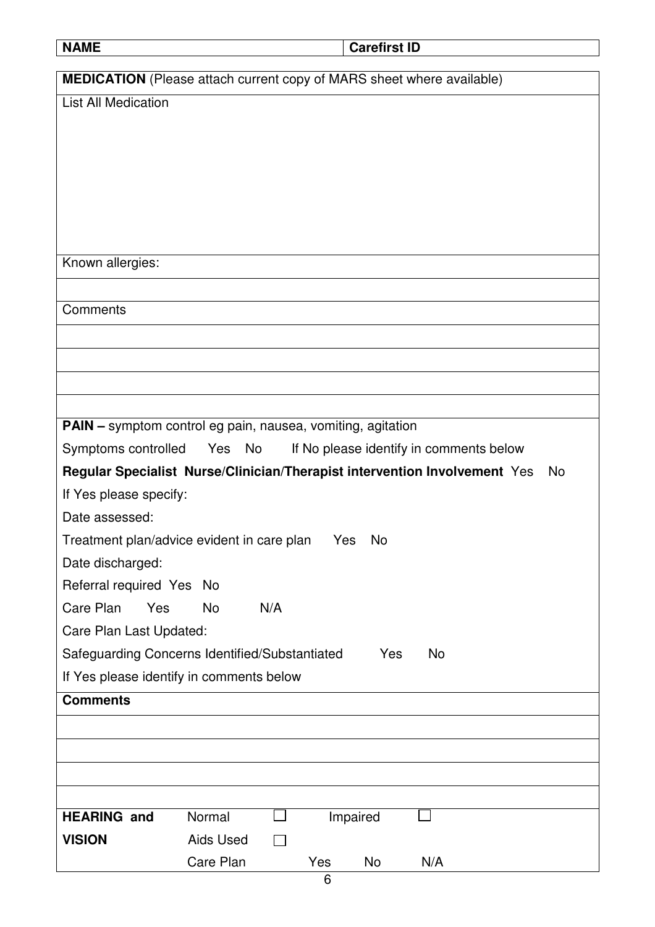|--|--|

**Carefirst ID** 

| <b>MEDICATION</b> (Please attach current copy of MARS sheet where available)     |
|----------------------------------------------------------------------------------|
| <b>List All Medication</b>                                                       |
|                                                                                  |
|                                                                                  |
|                                                                                  |
|                                                                                  |
|                                                                                  |
|                                                                                  |
| Known allergies:                                                                 |
|                                                                                  |
| Comments                                                                         |
|                                                                                  |
|                                                                                  |
|                                                                                  |
|                                                                                  |
| <b>PAIN</b> - symptom control eg pain, nausea, vomiting, agitation               |
| Symptoms controlled  Yes  No<br>If No please identify in comments below          |
| Regular Specialist Nurse/Clinician/Therapist intervention Involvement Yes<br>No. |
| If Yes please specify:                                                           |
| Date assessed:                                                                   |
| Treatment plan/advice evident in care plan<br>Yes<br>No                          |
| Date discharged:                                                                 |
| Referral required Yes No                                                         |
| Care Plan<br>N/A<br>Yes<br><b>No</b>                                             |
| Care Plan Last Updated:                                                          |
| Safeguarding Concerns Identified/Substantiated<br><b>No</b><br>Yes               |
| If Yes please identify in comments below                                         |
| <b>Comments</b>                                                                  |
|                                                                                  |
|                                                                                  |
|                                                                                  |
|                                                                                  |
|                                                                                  |
| Care Plan<br>Yes<br>No<br>N/A                                                    |
| <b>HEARING and</b><br>Normal<br>Impaired<br><b>VISION</b><br><b>Aids Used</b>    |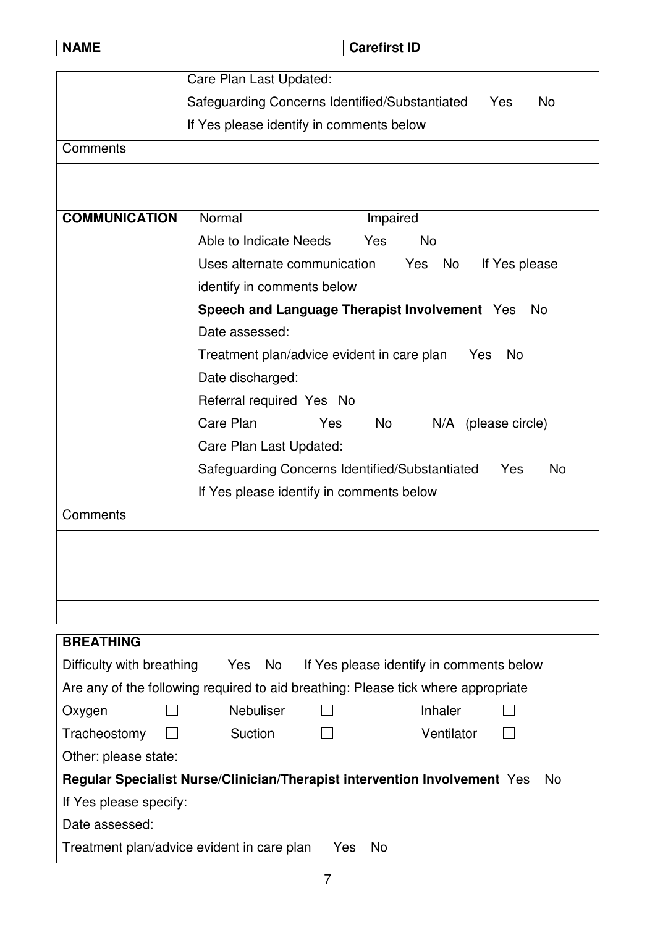| <b>NAME</b>                      | <b>Carefirst ID</b>                                                                    |
|----------------------------------|----------------------------------------------------------------------------------------|
|                                  | Care Plan Last Updated:                                                                |
|                                  | Safeguarding Concerns Identified/Substantiated<br>No<br>Yes                            |
|                                  | If Yes please identify in comments below                                               |
| Comments                         |                                                                                        |
|                                  |                                                                                        |
|                                  |                                                                                        |
| <b>COMMUNICATION</b>             | Normal<br>Impaired                                                                     |
|                                  | Able to Indicate Needs<br><b>No</b><br>Yes                                             |
|                                  | Uses alternate communication<br>Yes<br>No<br>If Yes please                             |
|                                  | identify in comments below                                                             |
|                                  | Speech and Language Therapist Involvement Yes<br>No.                                   |
|                                  | Date assessed:                                                                         |
|                                  | <b>No</b><br>Treatment plan/advice evident in care plan<br>Yes                         |
|                                  | Date discharged:                                                                       |
|                                  | Referral required Yes No                                                               |
|                                  | Care Plan<br>Yes<br>No.<br>N/A (please circle)                                         |
|                                  | Care Plan Last Updated:                                                                |
|                                  | Safeguarding Concerns Identified/Substantiated<br>No<br>Yes                            |
|                                  | If Yes please identify in comments below                                               |
| Comments                         |                                                                                        |
|                                  |                                                                                        |
|                                  |                                                                                        |
|                                  |                                                                                        |
|                                  |                                                                                        |
| <b>BREATHING</b>                 |                                                                                        |
| Difficulty with breathing Yes No | If Yes please identify in comments below                                               |
|                                  | Are any of the following required to aid breathing: Please tick where appropriate      |
| Oxygen                           | Nebuliser<br>Inhaler                                                                   |
| Tracheostomy                     | Suction<br>Ventilator                                                                  |
| Other: please state:             |                                                                                        |
|                                  | Regular Specialist Nurse/Clinician/Therapist intervention Involvement Yes<br><b>No</b> |
| If Yes please specify:           |                                                                                        |
| Date assessed:                   |                                                                                        |
|                                  | Treatment plan/advice evident in care plan<br>No<br>Yes                                |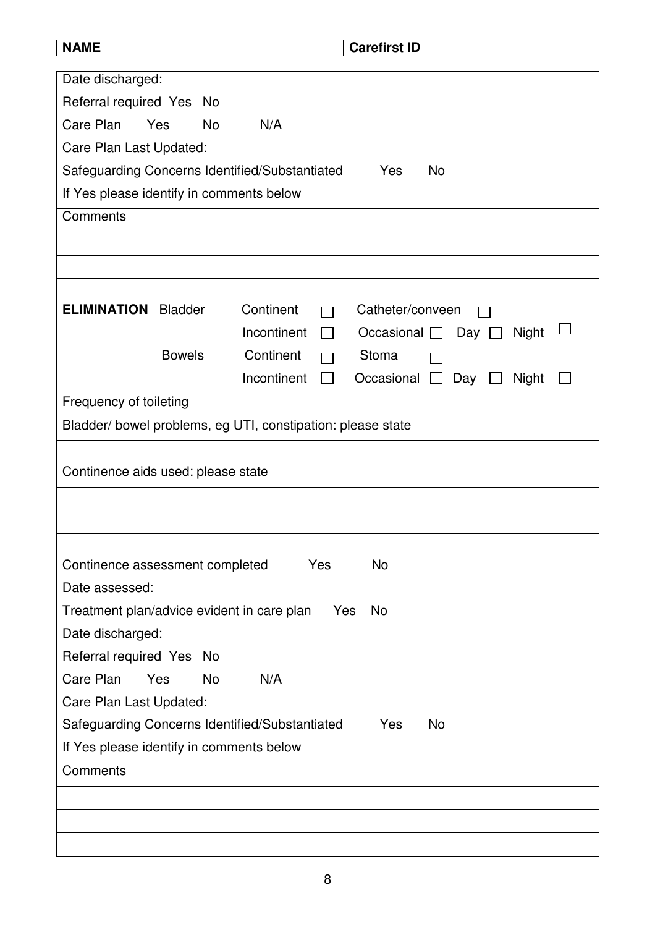| <b>NAME</b>                                                 | <b>Carefirst ID</b>                                    |
|-------------------------------------------------------------|--------------------------------------------------------|
| Date discharged:                                            |                                                        |
| Referral required Yes No                                    |                                                        |
| Care Plan<br>Yes<br><b>No</b><br>N/A                        |                                                        |
| Care Plan Last Updated:                                     |                                                        |
| Safeguarding Concerns Identified/Substantiated              | <b>No</b><br>Yes                                       |
| If Yes please identify in comments below                    |                                                        |
| Comments                                                    |                                                        |
|                                                             |                                                        |
|                                                             |                                                        |
|                                                             |                                                        |
| <b>ELIMINATION</b><br><b>Bladder</b><br>Continent           | Catheter/conveen                                       |
| Incontinent                                                 | Occasional $\square$<br>Day [<br>Night<br>$\mathbf{I}$ |
| <b>Bowels</b><br>Continent                                  | Stoma                                                  |
| Incontinent                                                 | Occasional $\square$<br>Day<br>Night<br>$\mathbf{I}$   |
| Frequency of toileting                                      |                                                        |
| Bladder/ bowel problems, eg UTI, constipation: please state |                                                        |
|                                                             |                                                        |
| Continence aids used: please state                          |                                                        |
|                                                             |                                                        |
|                                                             |                                                        |
|                                                             |                                                        |
| Continence assessment completed                             | Yes<br><b>No</b>                                       |
| Date assessed:                                              |                                                        |
| Treatment plan/advice evident in care plan                  | Yes<br>No.                                             |
| Date discharged:                                            |                                                        |
| Referral required Yes No                                    |                                                        |
| Care Plan<br><b>No</b><br>N/A<br>Yes                        |                                                        |
| Care Plan Last Updated:                                     |                                                        |
| Safeguarding Concerns Identified/Substantiated              | Yes<br>No                                              |
| If Yes please identify in comments below                    |                                                        |
| Comments                                                    |                                                        |
|                                                             |                                                        |
|                                                             |                                                        |
|                                                             |                                                        |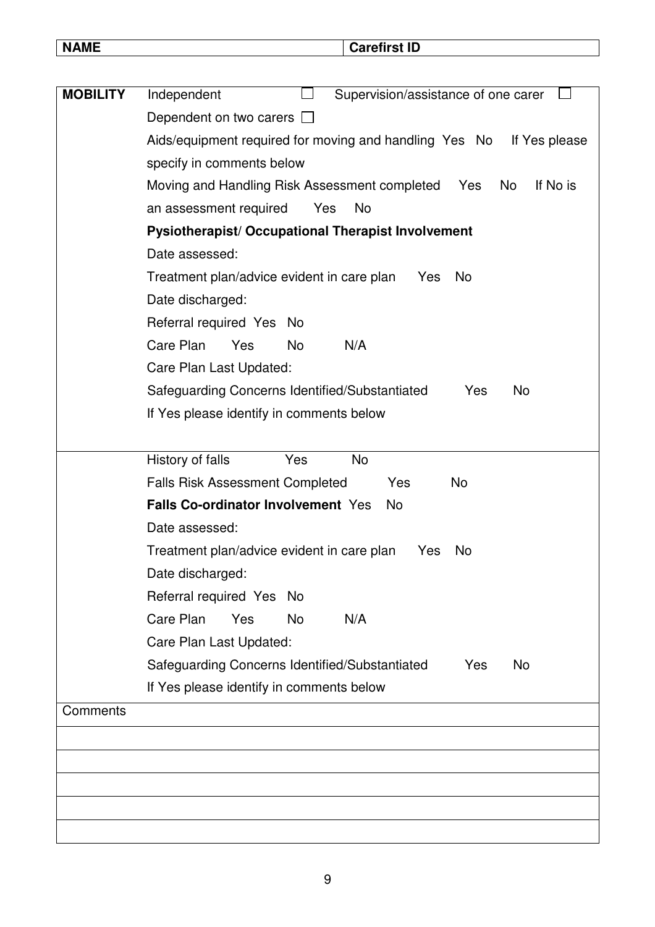**Carefirst ID** 

| <b>MOBILITY</b> | Independent<br>Supervision/assistance of one carer                      |
|-----------------|-------------------------------------------------------------------------|
|                 | Dependent on two carers $\Box$                                          |
|                 | Aids/equipment required for moving and handling Yes No<br>If Yes please |
|                 | specify in comments below                                               |
|                 | Moving and Handling Risk Assessment completed<br>If No is<br>Yes<br>No  |
|                 | <b>No</b><br>an assessment required<br>Yes                              |
|                 | Pysiotherapist/ Occupational Therapist Involvement                      |
|                 | Date assessed:                                                          |
|                 | Treatment plan/advice evident in care plan<br>No<br>Yes                 |
|                 | Date discharged:                                                        |
|                 | Referral required Yes No                                                |
|                 | Care Plan<br>Yes<br>N/A<br>No                                           |
|                 | Care Plan Last Updated:                                                 |
|                 | Safeguarding Concerns Identified/Substantiated<br>No<br>Yes             |
|                 | If Yes please identify in comments below                                |
|                 |                                                                         |
|                 | <b>No</b><br>History of falls<br>Yes                                    |
|                 | <b>Falls Risk Assessment Completed</b><br>No<br>Yes                     |
|                 | <b>Falls Co-ordinator Involvement Yes</b><br>No.                        |
|                 | Date assessed:                                                          |
|                 | Treatment plan/advice evident in care plan<br>No<br>Yes                 |
|                 | Date discharged:                                                        |
|                 | Referral required Yes No                                                |
|                 | Care Plan<br>N/A<br>Yes<br>No                                           |
|                 | Care Plan Last Updated:                                                 |
|                 | Safeguarding Concerns Identified/Substantiated<br>Yes<br>No             |
|                 | If Yes please identify in comments below                                |
| Comments        |                                                                         |
|                 |                                                                         |
|                 |                                                                         |
|                 |                                                                         |
|                 |                                                                         |
|                 |                                                                         |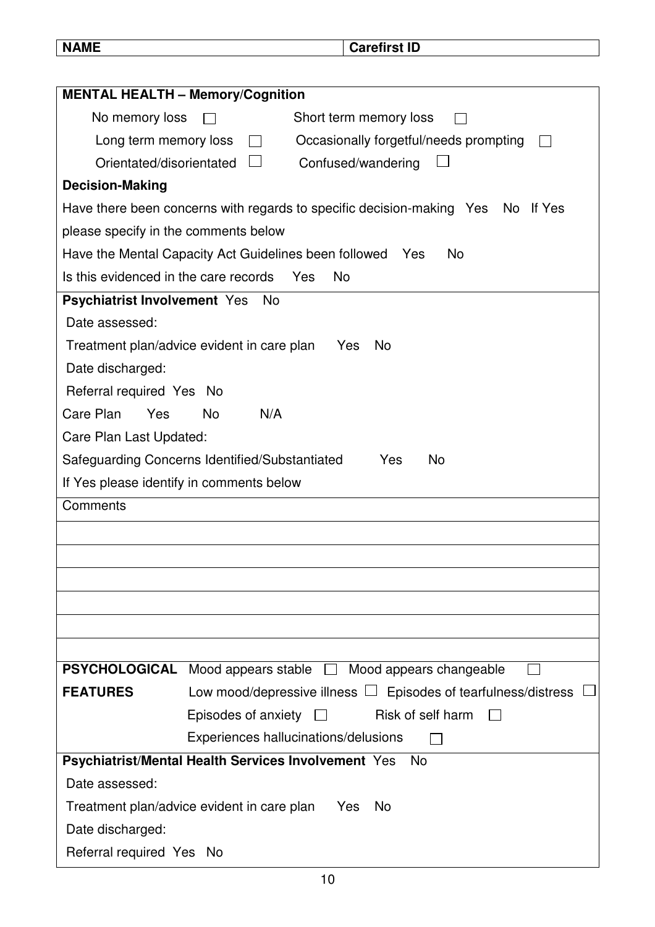**Carefirst ID** 

| <b>MENTAL HEALTH - Memory/Cognition</b>                                                       |  |  |  |  |  |
|-----------------------------------------------------------------------------------------------|--|--|--|--|--|
| No memory loss<br>Short term memory loss                                                      |  |  |  |  |  |
| Long term memory loss<br>Occasionally forgetful/needs prompting                               |  |  |  |  |  |
| Orientated/disorientated<br>Confused/wandering                                                |  |  |  |  |  |
| <b>Decision-Making</b>                                                                        |  |  |  |  |  |
| Have there been concerns with regards to specific decision-making Yes<br>If Yes<br>No.        |  |  |  |  |  |
| please specify in the comments below                                                          |  |  |  |  |  |
| Have the Mental Capacity Act Guidelines been followed<br><b>No</b><br>Yes                     |  |  |  |  |  |
| Is this evidenced in the care records<br>No<br>Yes                                            |  |  |  |  |  |
| <b>Psychiatrist Involvement Yes</b><br>No                                                     |  |  |  |  |  |
| Date assessed:                                                                                |  |  |  |  |  |
| Treatment plan/advice evident in care plan<br>No<br>Yes                                       |  |  |  |  |  |
| Date discharged:                                                                              |  |  |  |  |  |
| Referral required Yes No                                                                      |  |  |  |  |  |
| Care Plan<br><b>No</b><br>N/A<br>Yes                                                          |  |  |  |  |  |
| Care Plan Last Updated:                                                                       |  |  |  |  |  |
| <b>No</b><br>Safeguarding Concerns Identified/Substantiated<br>Yes                            |  |  |  |  |  |
| If Yes please identify in comments below                                                      |  |  |  |  |  |
| Comments                                                                                      |  |  |  |  |  |
|                                                                                               |  |  |  |  |  |
|                                                                                               |  |  |  |  |  |
|                                                                                               |  |  |  |  |  |
|                                                                                               |  |  |  |  |  |
|                                                                                               |  |  |  |  |  |
|                                                                                               |  |  |  |  |  |
| <b>PSYCHOLOGICAL</b><br>Mood appears stable $\square$<br>Mood appears changeable              |  |  |  |  |  |
| <b>FEATURES</b><br>Low mood/depressive illness $\Box$ Episodes of tearfulness/distress $\Box$ |  |  |  |  |  |
| Risk of self harm<br>Episodes of anxiety<br>$\perp$                                           |  |  |  |  |  |
| Experiences hallucinations/delusions                                                          |  |  |  |  |  |
| Psychiatrist/Mental Health Services Involvement Yes<br><b>No</b>                              |  |  |  |  |  |
| Date assessed:                                                                                |  |  |  |  |  |
| Treatment plan/advice evident in care plan<br><b>Yes</b><br><b>No</b>                         |  |  |  |  |  |
| Date discharged:                                                                              |  |  |  |  |  |
| Referral required Yes No                                                                      |  |  |  |  |  |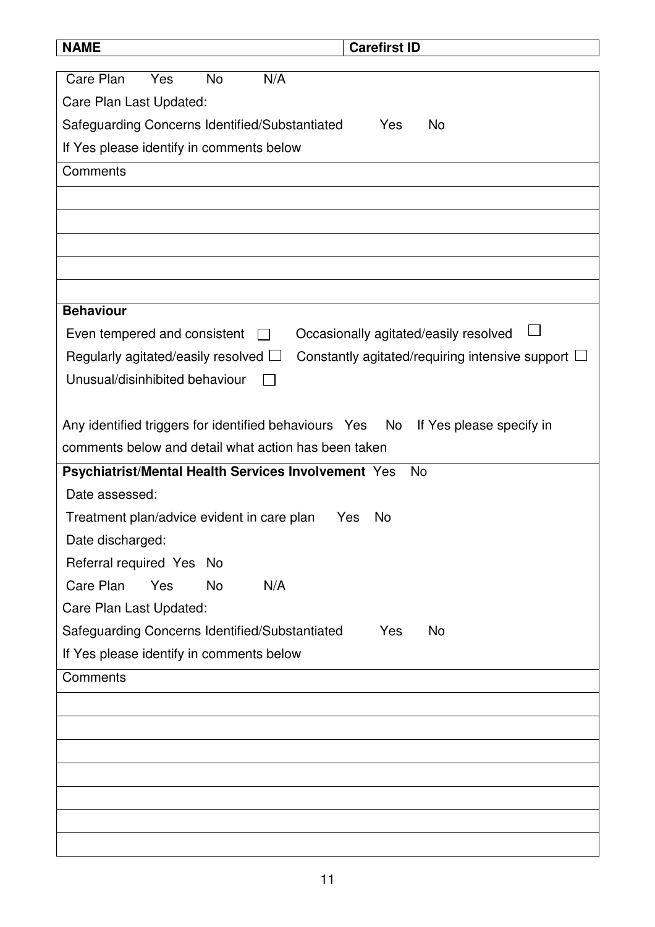| <b>NAME</b>                                              | <b>Carefirst ID</b>                                    |
|----------------------------------------------------------|--------------------------------------------------------|
| Care Plan<br><b>No</b><br>N/A<br>Yes                     |                                                        |
|                                                          |                                                        |
| Care Plan Last Updated:                                  |                                                        |
| Safeguarding Concerns Identified/Substantiated           | No<br>Yes                                              |
| If Yes please identify in comments below                 |                                                        |
| Comments                                                 |                                                        |
|                                                          |                                                        |
|                                                          |                                                        |
|                                                          |                                                        |
|                                                          |                                                        |
|                                                          |                                                        |
| <b>Behaviour</b>                                         |                                                        |
| Even tempered and consistent                             | Occasionally agitated/easily resolved                  |
| Regularly agitated/easily resolved $\Box$                | Constantly agitated/requiring intensive support $\Box$ |
| Unusual/disinhibited behaviour                           |                                                        |
|                                                          |                                                        |
| Any identified triggers for identified behaviours Yes No | If Yes please specify in                               |
| comments below and detail what action has been taken     |                                                        |
| Psychiatrist/Mental Health Services Involvement Yes      | <b>No</b>                                              |
| Date assessed:                                           |                                                        |
| Treatment plan/advice evident in care plan               | Yes<br>No                                              |
| Date discharged:                                         |                                                        |
| Referral required Yes No                                 |                                                        |
| Care Plan<br>Yes<br><b>No</b><br>N/A                     |                                                        |
| Care Plan Last Updated:                                  |                                                        |
| Safeguarding Concerns Identified/Substantiated           | Yes<br><b>No</b>                                       |
| If Yes please identify in comments below                 |                                                        |
| Comments                                                 |                                                        |
|                                                          |                                                        |
|                                                          |                                                        |
|                                                          |                                                        |
|                                                          |                                                        |
|                                                          |                                                        |
|                                                          |                                                        |
|                                                          |                                                        |
|                                                          |                                                        |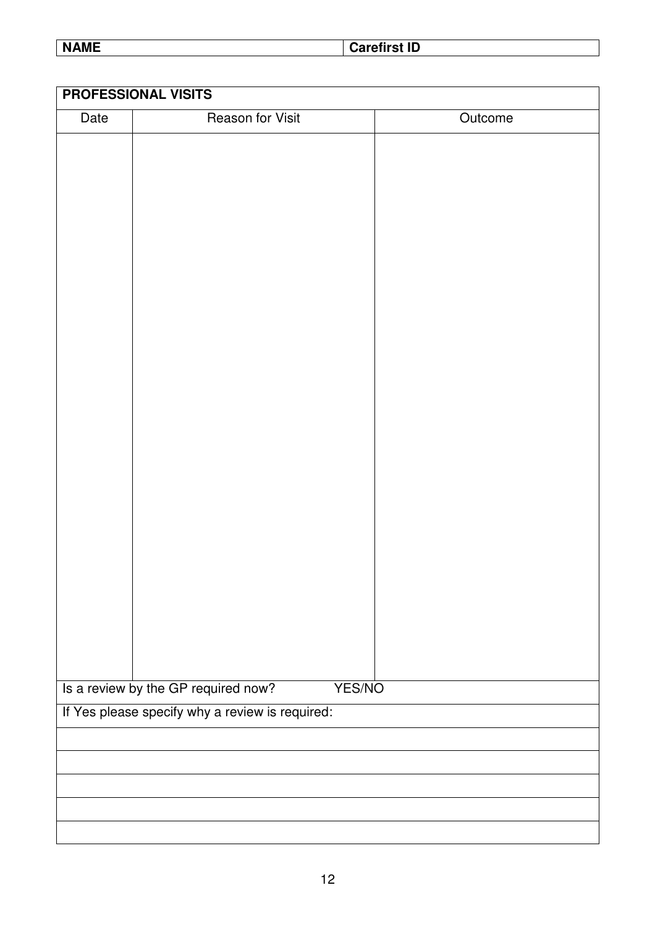**NAME** Carefirst ID

|      | <b>PROFESSIONAL VISITS</b>                      |         |
|------|-------------------------------------------------|---------|
| Date | <b>Reason for Visit</b>                         | Outcome |
|      |                                                 |         |
|      |                                                 |         |
|      |                                                 |         |
|      |                                                 |         |
|      |                                                 |         |
|      |                                                 |         |
|      |                                                 |         |
|      |                                                 |         |
|      |                                                 |         |
|      |                                                 |         |
|      |                                                 |         |
|      |                                                 |         |
|      |                                                 |         |
|      |                                                 |         |
|      |                                                 |         |
|      |                                                 |         |
|      |                                                 |         |
|      |                                                 |         |
|      |                                                 |         |
|      |                                                 |         |
|      |                                                 |         |
|      |                                                 |         |
|      |                                                 |         |
|      | Is a review by the GP required now?<br>YES/NO   |         |
|      | If Yes please specify why a review is required: |         |
|      |                                                 |         |
|      |                                                 |         |
|      |                                                 |         |
|      |                                                 |         |
|      |                                                 |         |